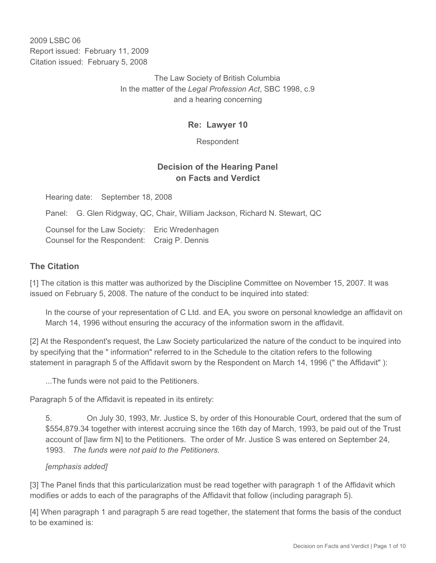2009 LSBC 06 Report issued: February 11, 2009 Citation issued: February 5, 2008

> The Law Society of British Columbia In the matter of the *Legal Profession Act*, SBC 1998, c.9 and a hearing concerning

> > **Re: Lawyer 10**

Respondent

# **Decision of the Hearing Panel on Facts and Verdict**

Hearing date: September 18, 2008

Panel: G. Glen Ridgway, QC, Chair, William Jackson, Richard N. Stewart, QC

Counsel for the Law Society: Eric Wredenhagen Counsel for the Respondent: Craig P. Dennis

#### **The Citation**

[1] The citation is this matter was authorized by the Discipline Committee on November 15, 2007. It was issued on February 5, 2008. The nature of the conduct to be inquired into stated:

In the course of your representation of C Ltd. and EA, you swore on personal knowledge an affidavit on March 14, 1996 without ensuring the accuracy of the information sworn in the affidavit.

[2] At the Respondent's request, the Law Society particularized the nature of the conduct to be inquired into by specifying that the " information" referred to in the Schedule to the citation refers to the following statement in paragraph 5 of the Affidavit sworn by the Respondent on March 14, 1996 (" the Affidavit" ):

...The funds were not paid to the Petitioners.

Paragraph 5 of the Affidavit is repeated in its entirety:

5. On July 30, 1993, Mr. Justice S, by order of this Honourable Court, ordered that the sum of \$554,879.34 together with interest accruing since the 16th day of March, 1993, be paid out of the Trust account of [law firm N] to the Petitioners. The order of Mr. Justice S was entered on September 24, 1993. *The funds were not paid to the Petitioners.* 

#### *[emphasis added]*

[3] The Panel finds that this particularization must be read together with paragraph 1 of the Affidavit which modifies or adds to each of the paragraphs of the Affidavit that follow (including paragraph 5).

[4] When paragraph 1 and paragraph 5 are read together, the statement that forms the basis of the conduct to be examined is: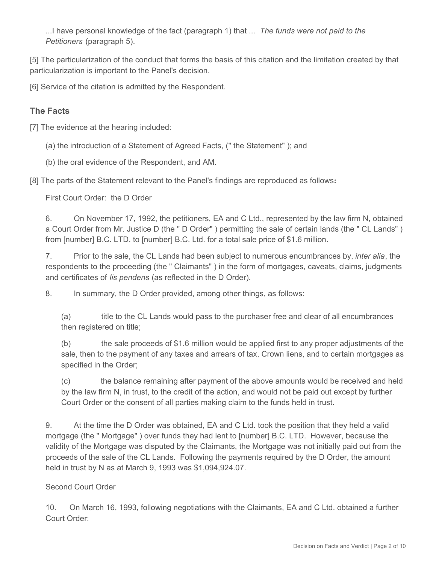...I have personal knowledge of the fact (paragraph 1) that ... *The funds were not paid to the Petitioners* (paragraph 5)*.*

[5] The particularization of the conduct that forms the basis of this citation and the limitation created by that particularization is important to the Panel's decision.

[6] Service of the citation is admitted by the Respondent.

# **The Facts**

[7] The evidence at the hearing included:

(a) the introduction of a Statement of Agreed Facts, (" the Statement" ); and

(b) the oral evidence of the Respondent, and AM.

[8] The parts of the Statement relevant to the Panel's findings are reproduced as follows**:**

First Court Order: the D Order

6. On November 17, 1992, the petitioners, EA and C Ltd., represented by the law firm N, obtained a Court Order from Mr. Justice D (the " D Order" ) permitting the sale of certain lands (the " CL Lands" ) from [number] B.C. LTD. to [number] B.C. Ltd. for a total sale price of \$1.6 million.

7. Prior to the sale, the CL Lands had been subject to numerous encumbrances by, *inter alia*, the respondents to the proceeding (the " Claimants" ) in the form of mortgages, caveats, claims, judgments and certificates of *lis pendens* (as reflected in the D Order).

8. In summary, the D Order provided, among other things, as follows:

(a) title to the CL Lands would pass to the purchaser free and clear of all encumbrances then registered on title;

(b) the sale proceeds of \$1.6 million would be applied first to any proper adjustments of the sale, then to the payment of any taxes and arrears of tax, Crown liens, and to certain mortgages as specified in the Order;

(c) the balance remaining after payment of the above amounts would be received and held by the law firm N, in trust, to the credit of the action, and would not be paid out except by further Court Order or the consent of all parties making claim to the funds held in trust.

9. At the time the D Order was obtained, EA and C Ltd. took the position that they held a valid mortgage (the " Mortgage" ) over funds they had lent to [number] B.C. LTD. However, because the validity of the Mortgage was disputed by the Claimants, the Mortgage was not initially paid out from the proceeds of the sale of the CL Lands. Following the payments required by the D Order, the amount held in trust by N as at March 9, 1993 was \$1,094,924.07.

#### Second Court Order

10. On March 16, 1993, following negotiations with the Claimants, EA and C Ltd. obtained a further Court Order: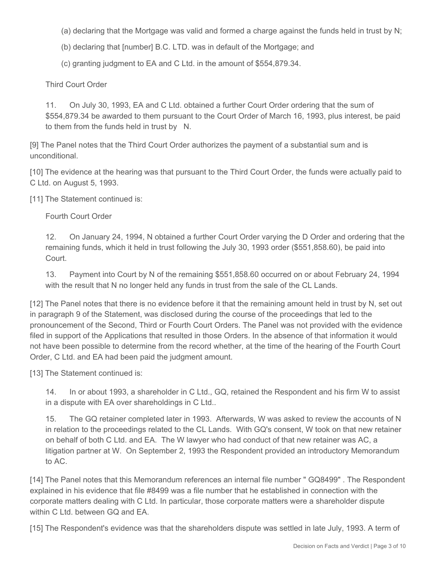- (a) declaring that the Mortgage was valid and formed a charge against the funds held in trust by N;
- (b) declaring that [number] B.C. LTD. was in default of the Mortgage; and
- (c) granting judgment to EA and C Ltd. in the amount of \$554,879.34.

Third Court Order

11. On July 30, 1993, EA and C Ltd. obtained a further Court Order ordering that the sum of \$554,879.34 be awarded to them pursuant to the Court Order of March 16, 1993, plus interest, be paid to them from the funds held in trust by N.

[9] The Panel notes that the Third Court Order authorizes the payment of a substantial sum and is unconditional.

[10] The evidence at the hearing was that pursuant to the Third Court Order, the funds were actually paid to C Ltd. on August 5, 1993.

[11] The Statement continued is:

Fourth Court Order

12. On January 24, 1994, N obtained a further Court Order varying the D Order and ordering that the remaining funds, which it held in trust following the July 30, 1993 order (\$551,858.60), be paid into Court.

13. Payment into Court by N of the remaining \$551,858.60 occurred on or about February 24, 1994 with the result that N no longer held any funds in trust from the sale of the CL Lands.

[12] The Panel notes that there is no evidence before it that the remaining amount held in trust by N, set out in paragraph 9 of the Statement, was disclosed during the course of the proceedings that led to the pronouncement of the Second, Third or Fourth Court Orders. The Panel was not provided with the evidence filed in support of the Applications that resulted in those Orders. In the absence of that information it would not have been possible to determine from the record whether, at the time of the hearing of the Fourth Court Order, C Ltd. and EA had been paid the judgment amount.

[13] The Statement continued is:

14. In or about 1993, a shareholder in C Ltd., GQ, retained the Respondent and his firm W to assist in a dispute with EA over shareholdings in C Ltd..

15. The GQ retainer completed later in 1993. Afterwards, W was asked to review the accounts of N in relation to the proceedings related to the CL Lands. With GQ's consent, W took on that new retainer on behalf of both C Ltd. and EA. The W lawyer who had conduct of that new retainer was AC, a litigation partner at W. On September 2, 1993 the Respondent provided an introductory Memorandum to AC.

[14] The Panel notes that this Memorandum references an internal file number " GQ8499" . The Respondent explained in his evidence that file #8499 was a file number that he established in connection with the corporate matters dealing with C Ltd. In particular, those corporate matters were a shareholder dispute within C Ltd. between GQ and EA.

[15] The Respondent's evidence was that the shareholders dispute was settled in late July, 1993. A term of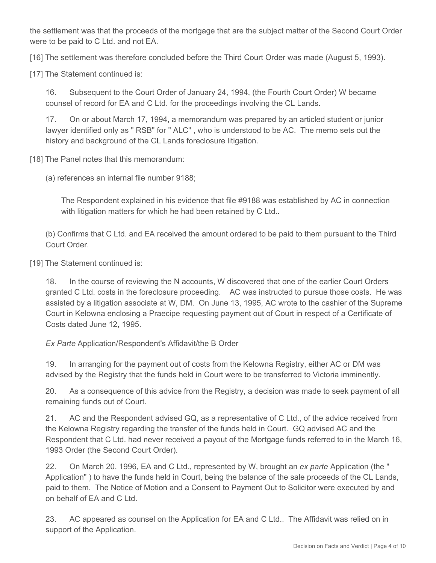the settlement was that the proceeds of the mortgage that are the subject matter of the Second Court Order were to be paid to C Ltd. and not EA.

[16] The settlement was therefore concluded before the Third Court Order was made (August 5, 1993).

[17] The Statement continued is:

16. Subsequent to the Court Order of January 24, 1994, (the Fourth Court Order) W became counsel of record for EA and C Ltd. for the proceedings involving the CL Lands.

17. On or about March 17, 1994, a memorandum was prepared by an articled student or junior lawyer identified only as " RSB" for " ALC" , who is understood to be AC. The memo sets out the history and background of the CL Lands foreclosure litigation.

[18] The Panel notes that this memorandum:

(a) references an internal file number 9188;

The Respondent explained in his evidence that file #9188 was established by AC in connection with litigation matters for which he had been retained by C Ltd..

(b) Confirms that C Ltd. and EA received the amount ordered to be paid to them pursuant to the Third Court Order.

[19] The Statement continued is:

18. In the course of reviewing the N accounts, W discovered that one of the earlier Court Orders granted C Ltd. costs in the foreclosure proceeding. AC was instructed to pursue those costs. He was assisted by a litigation associate at W, DM. On June 13, 1995, AC wrote to the cashier of the Supreme Court in Kelowna enclosing a Praecipe requesting payment out of Court in respect of a Certificate of Costs dated June 12, 1995.

*Ex Parte* Application/Respondent's Affidavit/the B Order

19. In arranging for the payment out of costs from the Kelowna Registry, either AC or DM was advised by the Registry that the funds held in Court were to be transferred to Victoria imminently.

20. As a consequence of this advice from the Registry, a decision was made to seek payment of all remaining funds out of Court.

21. AC and the Respondent advised GQ, as a representative of C Ltd., of the advice received from the Kelowna Registry regarding the transfer of the funds held in Court. GQ advised AC and the Respondent that C Ltd. had never received a payout of the Mortgage funds referred to in the March 16, 1993 Order (the Second Court Order).

22. On March 20, 1996, EA and C Ltd., represented by W, brought an *ex parte* Application (the " Application" ) to have the funds held in Court, being the balance of the sale proceeds of the CL Lands, paid to them. The Notice of Motion and a Consent to Payment Out to Solicitor were executed by and on behalf of EA and C Ltd.

23. AC appeared as counsel on the Application for EA and C Ltd.. The Affidavit was relied on in support of the Application.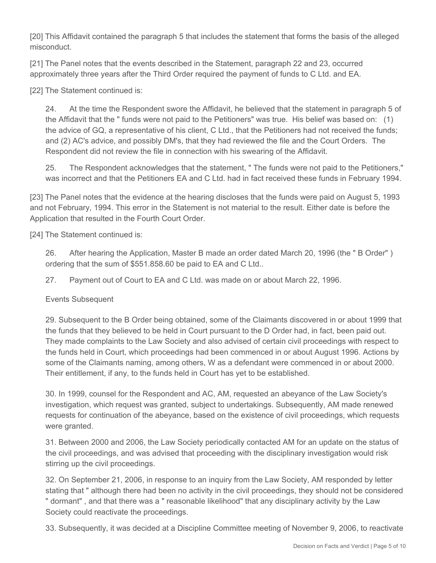[20] This Affidavit contained the paragraph 5 that includes the statement that forms the basis of the alleged misconduct.

[21] The Panel notes that the events described in the Statement, paragraph 22 and 23, occurred approximately three years after the Third Order required the payment of funds to C Ltd. and EA.

[22] The Statement continued is:

24. At the time the Respondent swore the Affidavit, he believed that the statement in paragraph 5 of the Affidavit that the " funds were not paid to the Petitioners" was true. His belief was based on: (1) the advice of GQ, a representative of his client, C Ltd., that the Petitioners had not received the funds; and (2) AC's advice, and possibly DM's, that they had reviewed the file and the Court Orders. The Respondent did not review the file in connection with his swearing of the Affidavit.

25. The Respondent acknowledges that the statement, " The funds were not paid to the Petitioners," was incorrect and that the Petitioners EA and C Ltd. had in fact received these funds in February 1994.

[23] The Panel notes that the evidence at the hearing discloses that the funds were paid on August 5, 1993 and not February, 1994. This error in the Statement is not material to the result. Either date is before the Application that resulted in the Fourth Court Order.

[24] The Statement continued is:

26. After hearing the Application, Master B made an order dated March 20, 1996 (the " B Order" ) ordering that the sum of \$551.858.60 be paid to EA and C Ltd..

27. Payment out of Court to EA and C Ltd. was made on or about March 22, 1996.

Events Subsequent

29. Subsequent to the B Order being obtained, some of the Claimants discovered in or about 1999 that the funds that they believed to be held in Court pursuant to the D Order had, in fact, been paid out. They made complaints to the Law Society and also advised of certain civil proceedings with respect to the funds held in Court, which proceedings had been commenced in or about August 1996. Actions by some of the Claimants naming, among others, W as a defendant were commenced in or about 2000. Their entitlement, if any, to the funds held in Court has yet to be established.

30. In 1999, counsel for the Respondent and AC, AM, requested an abeyance of the Law Society's investigation, which request was granted, subject to undertakings. Subsequently, AM made renewed requests for continuation of the abeyance, based on the existence of civil proceedings, which requests were granted.

31. Between 2000 and 2006, the Law Society periodically contacted AM for an update on the status of the civil proceedings, and was advised that proceeding with the disciplinary investigation would risk stirring up the civil proceedings.

32. On September 21, 2006, in response to an inquiry from the Law Society, AM responded by letter stating that " although there had been no activity in the civil proceedings, they should not be considered " dormant" , and that there was a " reasonable likelihood" that any disciplinary activity by the Law Society could reactivate the proceedings.

33. Subsequently, it was decided at a Discipline Committee meeting of November 9, 2006, to reactivate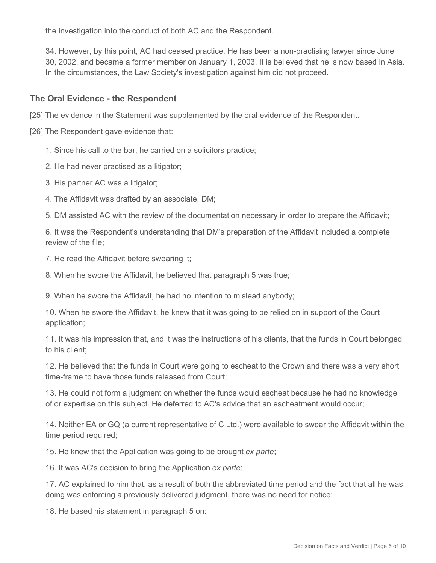the investigation into the conduct of both AC and the Respondent.

34. However, by this point, AC had ceased practice. He has been a non-practising lawyer since June 30, 2002, and became a former member on January 1, 2003. It is believed that he is now based in Asia. In the circumstances, the Law Society's investigation against him did not proceed.

#### **The Oral Evidence - the Respondent**

[25] The evidence in the Statement was supplemented by the oral evidence of the Respondent.

[26] The Respondent gave evidence that:

- 1. Since his call to the bar, he carried on a solicitors practice;
- 2. He had never practised as a litigator;
- 3. His partner AC was a litigator;
- 4. The Affidavit was drafted by an associate, DM;

5. DM assisted AC with the review of the documentation necessary in order to prepare the Affidavit;

6. It was the Respondent's understanding that DM's preparation of the Affidavit included a complete review of the file;

7. He read the Affidavit before swearing it;

8. When he swore the Affidavit, he believed that paragraph 5 was true;

9. When he swore the Affidavit, he had no intention to mislead anybody;

10. When he swore the Affidavit, he knew that it was going to be relied on in support of the Court application;

11. It was his impression that, and it was the instructions of his clients, that the funds in Court belonged to his client;

12. He believed that the funds in Court were going to escheat to the Crown and there was a very short time-frame to have those funds released from Court;

13. He could not form a judgment on whether the funds would escheat because he had no knowledge of or expertise on this subject. He deferred to AC's advice that an escheatment would occur;

14. Neither EA or GQ (a current representative of C Ltd.) were available to swear the Affidavit within the time period required;

15. He knew that the Application was going to be brought *ex parte*;

16. It was AC's decision to bring the Application *ex parte*;

17. AC explained to him that, as a result of both the abbreviated time period and the fact that all he was doing was enforcing a previously delivered judgment, there was no need for notice;

18. He based his statement in paragraph 5 on: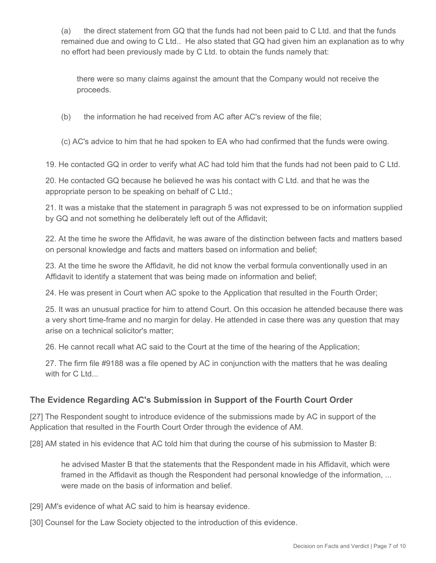(a) the direct statement from GQ that the funds had not been paid to C Ltd. and that the funds remained due and owing to C Ltd.. He also stated that GQ had given him an explanation as to why no effort had been previously made by C Ltd. to obtain the funds namely that:

there were so many claims against the amount that the Company would not receive the proceeds.

(b) the information he had received from AC after AC's review of the file;

(c) AC's advice to him that he had spoken to EA who had confirmed that the funds were owing.

19. He contacted GQ in order to verify what AC had told him that the funds had not been paid to C Ltd.

20. He contacted GQ because he believed he was his contact with C Ltd. and that he was the appropriate person to be speaking on behalf of C Ltd.;

21. It was a mistake that the statement in paragraph 5 was not expressed to be on information supplied by GQ and not something he deliberately left out of the Affidavit;

22. At the time he swore the Affidavit, he was aware of the distinction between facts and matters based on personal knowledge and facts and matters based on information and belief;

23. At the time he swore the Affidavit, he did not know the verbal formula conventionally used in an Affidavit to identify a statement that was being made on information and belief;

24. He was present in Court when AC spoke to the Application that resulted in the Fourth Order;

25. It was an unusual practice for him to attend Court. On this occasion he attended because there was a very short time-frame and no margin for delay. He attended in case there was any question that may arise on a technical solicitor's matter;

26. He cannot recall what AC said to the Court at the time of the hearing of the Application;

27. The firm file #9188 was a file opened by AC in conjunction with the matters that he was dealing with for C Ltd...

## **The Evidence Regarding AC's Submission in Support of the Fourth Court Order**

[27] The Respondent sought to introduce evidence of the submissions made by AC in support of the Application that resulted in the Fourth Court Order through the evidence of AM.

[28] AM stated in his evidence that AC told him that during the course of his submission to Master B:

he advised Master B that the statements that the Respondent made in his Affidavit, which were framed in the Affidavit as though the Respondent had personal knowledge of the information, ... were made on the basis of information and belief.

[29] AM's evidence of what AC said to him is hearsay evidence.

[30] Counsel for the Law Society objected to the introduction of this evidence.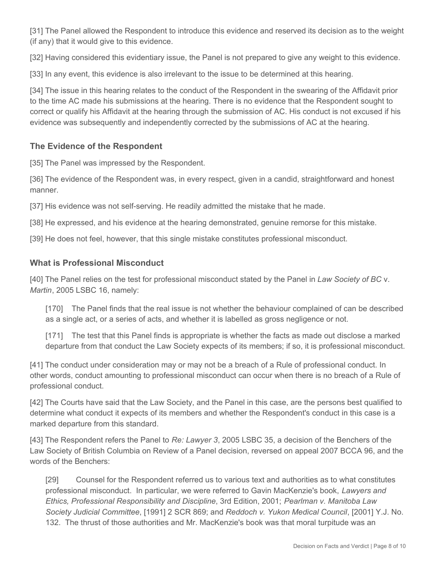[31] The Panel allowed the Respondent to introduce this evidence and reserved its decision as to the weight (if any) that it would give to this evidence.

[32] Having considered this evidentiary issue, the Panel is not prepared to give any weight to this evidence.

[33] In any event, this evidence is also irrelevant to the issue to be determined at this hearing.

[34] The issue in this hearing relates to the conduct of the Respondent in the swearing of the Affidavit prior to the time AC made his submissions at the hearing. There is no evidence that the Respondent sought to correct or qualify his Affidavit at the hearing through the submission of AC. His conduct is not excused if his evidence was subsequently and independently corrected by the submissions of AC at the hearing.

# **The Evidence of the Respondent**

[35] The Panel was impressed by the Respondent.

[36] The evidence of the Respondent was, in every respect, given in a candid, straightforward and honest manner.

[37] His evidence was not self-serving. He readily admitted the mistake that he made.

[38] He expressed, and his evidence at the hearing demonstrated, genuine remorse for this mistake.

[39] He does not feel, however, that this single mistake constitutes professional misconduct.

#### **What is Professional Misconduct**

[40] The Panel relies on the test for professional misconduct stated by the Panel in *Law Society of BC* v. *Martin*, 2005 LSBC 16, namely:

[170] The Panel finds that the real issue is not whether the behaviour complained of can be described as a single act, or a series of acts, and whether it is labelled as gross negligence or not.

[171] The test that this Panel finds is appropriate is whether the facts as made out disclose a marked departure from that conduct the Law Society expects of its members; if so, it is professional misconduct.

[41] The conduct under consideration may or may not be a breach of a Rule of professional conduct. In other words, conduct amounting to professional misconduct can occur when there is no breach of a Rule of professional conduct.

[42] The Courts have said that the Law Society, and the Panel in this case, are the persons best qualified to determine what conduct it expects of its members and whether the Respondent's conduct in this case is a marked departure from this standard.

[43] The Respondent refers the Panel to *Re: Lawyer 3*, 2005 LSBC 35, a decision of the Benchers of the Law Society of British Columbia on Review of a Panel decision, reversed on appeal 2007 BCCA 96, and the words of the Benchers:

[29] Counsel for the Respondent referred us to various text and authorities as to what constitutes professional misconduct. In particular, we were referred to Gavin MacKenzie's book, *Lawyers and Ethics, Professional Responsibility and Discipline*, 3rd Edition, 2001; *Pearlman v. Manitoba Law Society Judicial Committee*, [1991] 2 SCR 869; and *Reddoch v. Yukon Medical Council*, [2001] Y.J. No. 132. The thrust of those authorities and Mr. MacKenzie's book was that moral turpitude was an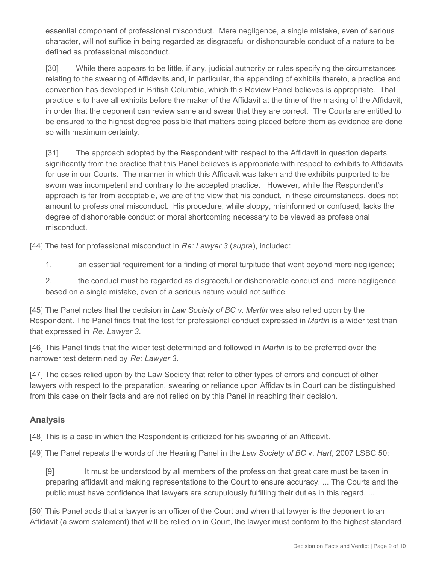essential component of professional misconduct. Mere negligence, a single mistake, even of serious character, will not suffice in being regarded as disgraceful or dishonourable conduct of a nature to be defined as professional misconduct.

[30] While there appears to be little, if any, judicial authority or rules specifying the circumstances relating to the swearing of Affidavits and, in particular, the appending of exhibits thereto, a practice and convention has developed in British Columbia, which this Review Panel believes is appropriate. That practice is to have all exhibits before the maker of the Affidavit at the time of the making of the Affidavit, in order that the deponent can review same and swear that they are correct. The Courts are entitled to be ensured to the highest degree possible that matters being placed before them as evidence are done so with maximum certainty.

[31] The approach adopted by the Respondent with respect to the Affidavit in question departs significantly from the practice that this Panel believes is appropriate with respect to exhibits to Affidavits for use in our Courts. The manner in which this Affidavit was taken and the exhibits purported to be sworn was incompetent and contrary to the accepted practice. However, while the Respondent's approach is far from acceptable, we are of the view that his conduct, in these circumstances, does not amount to professional misconduct. His procedure, while sloppy, misinformed or confused, lacks the degree of dishonorable conduct or moral shortcoming necessary to be viewed as professional misconduct.

[44] The test for professional misconduct in *Re: Lawyer 3* (*supra*), included:

1. an essential requirement for a finding of moral turpitude that went beyond mere negligence;

2. the conduct must be regarded as disgraceful or dishonorable conduct and mere negligence based on a single mistake, even of a serious nature would not suffice.

[45] The Panel notes that the decision in *Law Society of BC v. Martin* was also relied upon by the Respondent. The Panel finds that the test for professional conduct expressed in *Martin* is a wider test than that expressed in *Re: Lawyer 3*.

[46] This Panel finds that the wider test determined and followed in *Martin* is to be preferred over the narrower test determined by *Re: Lawyer 3*.

[47] The cases relied upon by the Law Society that refer to other types of errors and conduct of other lawyers with respect to the preparation, swearing or reliance upon Affidavits in Court can be distinguished from this case on their facts and are not relied on by this Panel in reaching their decision.

## **Analysis**

[48] This is a case in which the Respondent is criticized for his swearing of an Affidavit.

[49] The Panel repeats the words of the Hearing Panel in the *Law Society of BC* v. *Hart*, 2007 LSBC 50:

[9] It must be understood by all members of the profession that great care must be taken in preparing affidavit and making representations to the Court to ensure accuracy. ... The Courts and the public must have confidence that lawyers are scrupulously fulfilling their duties in this regard. ...

[50] This Panel adds that a lawyer is an officer of the Court and when that lawyer is the deponent to an Affidavit (a sworn statement) that will be relied on in Court, the lawyer must conform to the highest standard